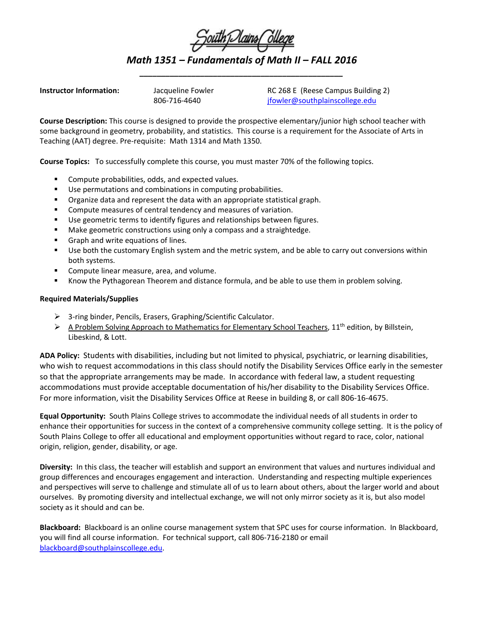

*Math 1351 – Fundamentals of Math II – FALL 2016 \_\_\_\_\_\_\_\_\_\_\_\_\_\_\_\_\_\_\_\_\_\_\_\_\_\_\_\_\_\_\_\_\_\_\_\_\_\_\_\_\_\_\_\_\_\_\_*

**Instructor Information:** Jacqueline Fowler RC 268 E (Reese Campus Building 2) 806-716-4640 ifowler@southplainscollege.edu

**Course Description:** This course is designed to provide the prospective elementary/junior high school teacher with some background in geometry, probability, and statistics. This course is a requirement for the Associate of Arts in Teaching (AAT) degree. Pre-requisite: Math 1314 and Math 1350.

**Course Topics:** To successfully complete this course, you must master 70% of the following topics.

- **Compute probabilities, odds, and expected values.**
- Use permutations and combinations in computing probabilities.
- **•** Organize data and represent the data with an appropriate statistical graph.
- Compute measures of central tendency and measures of variation.
- Use geometric terms to identify figures and relationships between figures.
- Make geometric constructions using only a compass and a straightedge.
- Graph and write equations of lines.
- Use both the customary English system and the metric system, and be able to carry out conversions within both systems.
- Compute linear measure, area, and volume.
- **Khow the Pythagorean Theorem and distance formula, and be able to use them in problem solving.**

## **Required Materials/Supplies**

- 3-ring binder, Pencils, Erasers, Graphing/Scientific Calculator.
- $\triangleright$  A Problem Solving Approach to Mathematics for Elementary School Teachers, 11<sup>th</sup> edition, by Billstein, Libeskind, & Lott.

**ADA Policy:** Students with disabilities, including but not limited to physical, psychiatric, or learning disabilities, who wish to request accommodations in this class should notify the Disability Services Office early in the semester so that the appropriate arrangements may be made. In accordance with federal law, a student requesting accommodations must provide acceptable documentation of his/her disability to the Disability Services Office. For more information, visit the Disability Services Office at Reese in building 8, or call 806-16-4675.

**Equal Opportunity:** South Plains College strives to accommodate the individual needs of all students in order to enhance their opportunities for success in the context of a comprehensive community college setting. It is the policy of South Plains College to offer all educational and employment opportunities without regard to race, color, national origin, religion, gender, disability, or age.

**Diversity:** In this class, the teacher will establish and support an environment that values and nurtures individual and group differences and encourages engagement and interaction. Understanding and respecting multiple experiences and perspectives will serve to challenge and stimulate all of us to learn about others, about the larger world and about ourselves. By promoting diversity and intellectual exchange, we will not only mirror society as it is, but also model society as it should and can be.

**Blackboard:** Blackboard is an online course management system that SPC uses for course information. In Blackboard, you will find all course information. For technical support, call 806-716-2180 or email [blackboard@southplainscollege.edu.](mailto:blackboard@southplainscollege.edu)